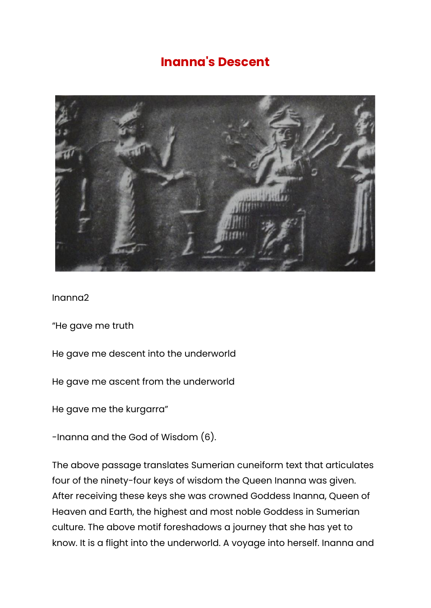## **Inanna's Descent**



Inanna2

"He gave me truth

He gave me descent into the underworld

He gave me ascent from the underworld

He gave me the kurgarra"

-Inanna and the God of Wisdom (6).

The above passage translates Sumerian cuneiform text that articulates four of the ninety-four keys of wisdom the Queen Inanna was given. After receiving these keys she was crowned Goddess Inanna, Queen of Heaven and Earth, the highest and most noble Goddess in Sumerian culture. The above motif foreshadows a journey that she has yet to know. It is a flight into the underworld. A voyage into herself. Inanna and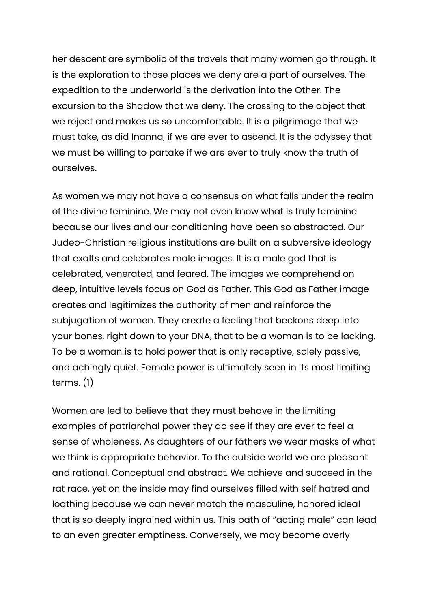her descent are symbolic of the travels that many women go through. It is the exploration to those places we deny are a part of ourselves. The expedition to the underworld is the derivation into the Other. The excursion to the Shadow that we deny. The crossing to the abject that we reject and makes us so uncomfortable. It is a pilgrimage that we must take, as did Inanna, if we are ever to ascend. It is the odyssey that we must be willing to partake if we are ever to truly know the truth of ourselves.

As women we may not have a consensus on what falls under the realm of the divine feminine. We may not even know what is truly feminine because our lives and our conditioning have been so abstracted. Our Judeo-Christian religious institutions are built on a subversive ideology that exalts and celebrates male images. It is a male god that is celebrated, venerated, and feared. The images we comprehend on deep, intuitive levels focus on God as Father. This God as Father image creates and legitimizes the authority of men and reinforce the subjugation of women. They create a feeling that beckons deep into your bones, right down to your DNA, that to be a woman is to be lacking. To be a woman is to hold power that is only receptive, solely passive, and achingly quiet. Female power is ultimately seen in its most limiting terms. (1)

Women are led to believe that they must behave in the limiting examples of patriarchal power they do see if they are ever to feel a sense of wholeness. As daughters of our fathers we wear masks of what we think is appropriate behavior. To the outside world we are pleasant and rational. Conceptual and abstract. We achieve and succeed in the rat race, yet on the inside may find ourselves filled with self hatred and loathing because we can never match the masculine, honored ideal that is so deeply ingrained within us. This path of "acting male" can lead to an even greater emptiness. Conversely, we may become overly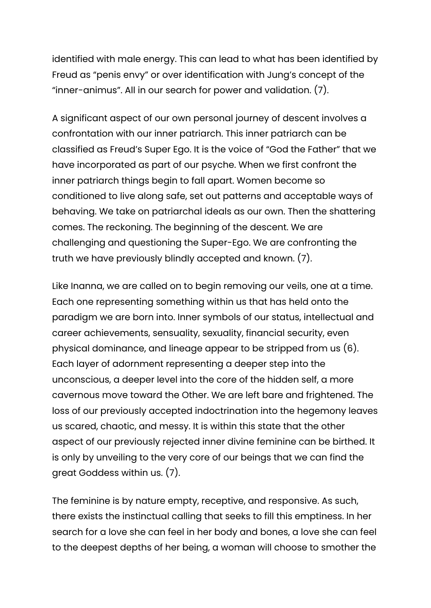identified with male energy. This can lead to what has been identified by Freud as "penis envy" or over identification with Jung's concept of the "inner-animus". All in our search for power and validation. (7).

A significant aspect of our own personal journey of descent involves a confrontation with our inner patriarch. This inner patriarch can be classified as Freud's Super Ego. It is the voice of "God the Father" that we have incorporated as part of our psyche. When we first confront the inner patriarch things begin to fall apart. Women become so conditioned to live along safe, set out patterns and acceptable ways of behaving. We take on patriarchal ideals as our own. Then the shattering comes. The reckoning. The beginning of the descent. We are challenging and questioning the Super-Ego. We are confronting the truth we have previously blindly accepted and known. (7).

Like Inanna, we are called on to begin removing our veils, one at a time. Each one representing something within us that has held onto the paradigm we are born into. Inner symbols of our status, intellectual and career achievements, sensuality, sexuality, financial security, even physical dominance, and lineage appear to be stripped from us (6). Each layer of adornment representing a deeper step into the unconscious, a deeper level into the core of the hidden self, a more cavernous move toward the Other. We are left bare and frightened. The loss of our previously accepted indoctrination into the hegemony leaves us scared, chaotic, and messy. It is within this state that the other aspect of our previously rejected inner divine feminine can be birthed. It is only by unveiling to the very core of our beings that we can find the great Goddess within us. (7).

The feminine is by nature empty, receptive, and responsive. As such, there exists the instinctual calling that seeks to fill this emptiness. In her search for a love she can feel in her body and bones, a love she can feel to the deepest depths of her being, a woman will choose to smother the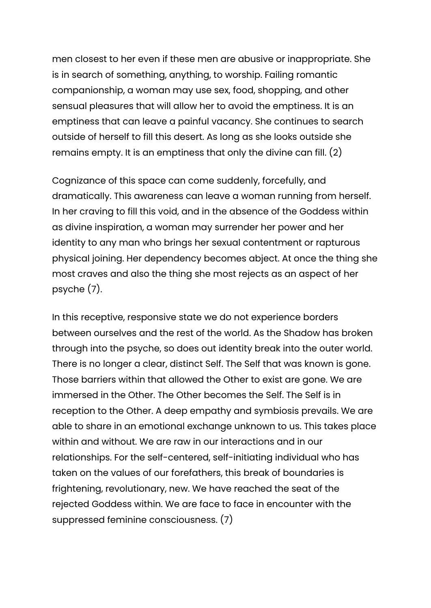men closest to her even if these men are abusive or inappropriate. She is in search of something, anything, to worship. Failing romantic companionship, a woman may use sex, food, shopping, and other sensual pleasures that will allow her to avoid the emptiness. It is an emptiness that can leave a painful vacancy. She continues to search outside of herself to fill this desert. As long as she looks outside she remains empty. It is an emptiness that only the divine can fill. (2)

Cognizance of this space can come suddenly, forcefully, and dramatically. This awareness can leave a woman running from herself. In her craving to fill this void, and in the absence of the Goddess within as divine inspiration, a woman may surrender her power and her identity to any man who brings her sexual contentment or rapturous physical joining. Her dependency becomes abject. At once the thing she most craves and also the thing she most rejects as an aspect of her psyche (7).

In this receptive, responsive state we do not experience borders between ourselves and the rest of the world. As the Shadow has broken through into the psyche, so does out identity break into the outer world. There is no longer a clear, distinct Self. The Self that was known is gone. Those barriers within that allowed the Other to exist are gone. We are immersed in the Other. The Other becomes the Self. The Self is in reception to the Other. A deep empathy and symbiosis prevails. We are able to share in an emotional exchange unknown to us. This takes place within and without. We are raw in our interactions and in our relationships. For the self-centered, self-initiating individual who has taken on the values of our forefathers, this break of boundaries is frightening, revolutionary, new. We have reached the seat of the rejected Goddess within. We are face to face in encounter with the suppressed feminine consciousness. (7)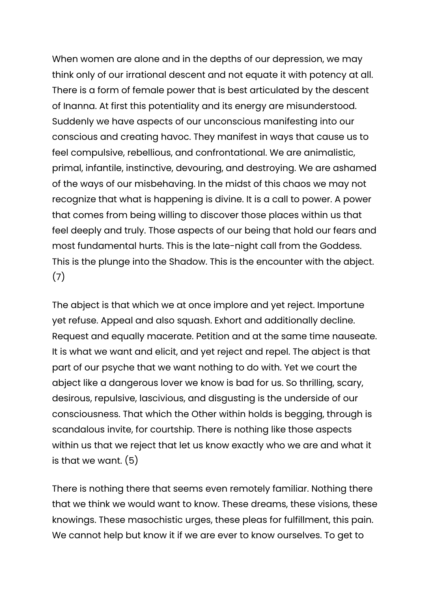When women are alone and in the depths of our depression, we may think only of our irrational descent and not equate it with potency at all. There is a form of female power that is best articulated by the descent of Inanna. At first this potentiality and its energy are misunderstood. Suddenly we have aspects of our unconscious manifesting into our conscious and creating havoc. They manifest in ways that cause us to feel compulsive, rebellious, and confrontational. We are animalistic, primal, infantile, instinctive, devouring, and destroying. We are ashamed of the ways of our misbehaving. In the midst of this chaos we may not recognize that what is happening is divine. It is a call to power. A power that comes from being willing to discover those places within us that feel deeply and truly. Those aspects of our being that hold our fears and most fundamental hurts. This is the late-night call from the Goddess. This is the plunge into the Shadow. This is the encounter with the abject. (7)

The abject is that which we at once implore and yet reject. Importune yet refuse. Appeal and also squash. Exhort and additionally decline. Request and equally macerate. Petition and at the same time nauseate. It is what we want and elicit, and yet reject and repel. The abject is that part of our psyche that we want nothing to do with. Yet we court the abject like a dangerous lover we know is bad for us. So thrilling, scary, desirous, repulsive, lascivious, and disgusting is the underside of our consciousness. That which the Other within holds is begging, through is scandalous invite, for courtship. There is nothing like those aspects within us that we reject that let us know exactly who we are and what it is that we want. (5)

There is nothing there that seems even remotely familiar. Nothing there that we think we would want to know. These dreams, these visions, these knowings. These masochistic urges, these pleas for fulfillment, this pain. We cannot help but know it if we are ever to know ourselves. To get to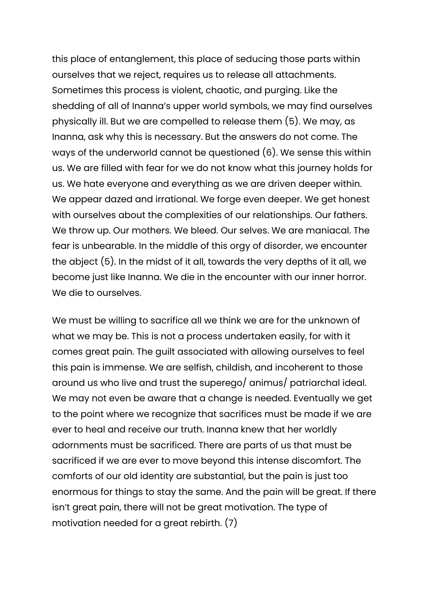this place of entanglement, this place of seducing those parts within ourselves that we reject, requires us to release all attachments. Sometimes this process is violent, chaotic, and purging. Like the shedding of all of Inanna's upper world symbols, we may find ourselves physically ill. But we are compelled to release them (5). We may, as Inanna, ask why this is necessary. But the answers do not come. The ways of the underworld cannot be questioned (6). We sense this within us. We are filled with fear for we do not know what this journey holds for us. We hate everyone and everything as we are driven deeper within. We appear dazed and irrational. We forge even deeper. We get honest with ourselves about the complexities of our relationships. Our fathers. We throw up. Our mothers. We bleed. Our selves. We are maniacal. The fear is unbearable. In the middle of this orgy of disorder, we encounter the abject (5). In the midst of it all, towards the very depths of it all, we become just like Inanna. We die in the encounter with our inner horror. We die to ourselves.

We must be willing to sacrifice all we think we are for the unknown of what we may be. This is not a process undertaken easily, for with it comes great pain. The guilt associated with allowing ourselves to feel this pain is immense. We are selfish, childish, and incoherent to those around us who live and trust the superego/ animus/ patriarchal ideal. We may not even be aware that a change is needed. Eventually we get to the point where we recognize that sacrifices must be made if we are ever to heal and receive our truth. Inanna knew that her worldly adornments must be sacrificed. There are parts of us that must be sacrificed if we are ever to move beyond this intense discomfort. The comforts of our old identity are substantial, but the pain is just too enormous for things to stay the same. And the pain will be great. If there isn't great pain, there will not be great motivation. The type of motivation needed for a great rebirth. (7)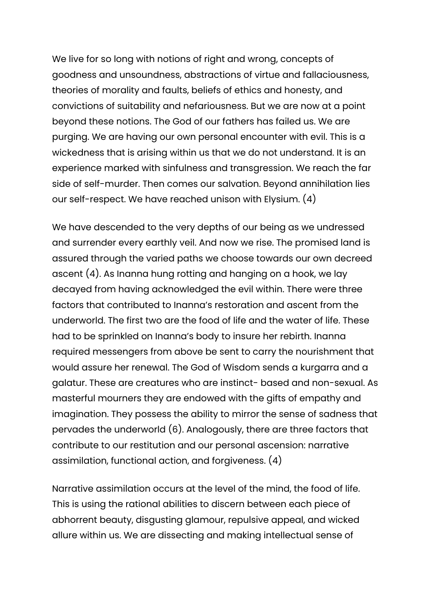We live for so long with notions of right and wrong, concepts of goodness and unsoundness, abstractions of virtue and fallaciousness, theories of morality and faults, beliefs of ethics and honesty, and convictions of suitability and nefariousness. But we are now at a point beyond these notions. The God of our fathers has failed us. We are purging. We are having our own personal encounter with evil. This is a wickedness that is arising within us that we do not understand. It is an experience marked with sinfulness and transgression. We reach the far side of self-murder. Then comes our salvation. Beyond annihilation lies our self-respect. We have reached unison with Elysium. (4)

We have descended to the very depths of our being as we undressed and surrender every earthly veil. And now we rise. The promised land is assured through the varied paths we choose towards our own decreed ascent (4). As Inanna hung rotting and hanging on a hook, we lay decayed from having acknowledged the evil within. There were three factors that contributed to Inanna's restoration and ascent from the underworld. The first two are the food of life and the water of life. These had to be sprinkled on Inanna's body to insure her rebirth. Inanna required messengers from above be sent to carry the nourishment that would assure her renewal. The God of Wisdom sends a kurgarra and a galatur. These are creatures who are instinct- based and non-sexual. As masterful mourners they are endowed with the gifts of empathy and imagination. They possess the ability to mirror the sense of sadness that pervades the underworld (6). Analogously, there are three factors that contribute to our restitution and our personal ascension: narrative assimilation, functional action, and forgiveness. (4)

Narrative assimilation occurs at the level of the mind, the food of life. This is using the rational abilities to discern between each piece of abhorrent beauty, disgusting glamour, repulsive appeal, and wicked allure within us. We are dissecting and making intellectual sense of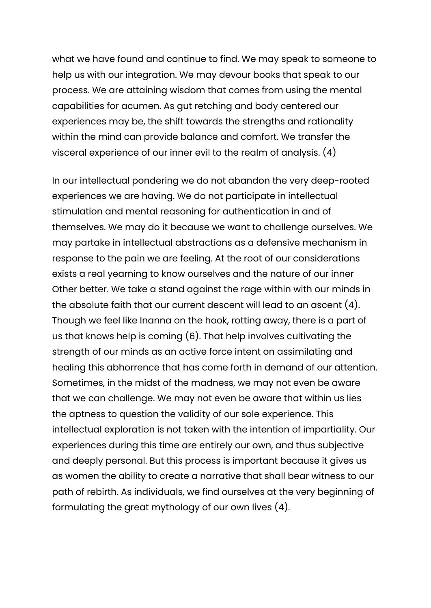what we have found and continue to find. We may speak to someone to help us with our integration. We may devour books that speak to our process. We are attaining wisdom that comes from using the mental capabilities for acumen. As gut retching and body centered our experiences may be, the shift towards the strengths and rationality within the mind can provide balance and comfort. We transfer the visceral experience of our inner evil to the realm of analysis. (4)

In our intellectual pondering we do not abandon the very deep-rooted experiences we are having. We do not participate in intellectual stimulation and mental reasoning for authentication in and of themselves. We may do it because we want to challenge ourselves. We may partake in intellectual abstractions as a defensive mechanism in response to the pain we are feeling. At the root of our considerations exists a real yearning to know ourselves and the nature of our inner Other better. We take a stand against the rage within with our minds in the absolute faith that our current descent will lead to an ascent (4). Though we feel like Inanna on the hook, rotting away, there is a part of us that knows help is coming (6). That help involves cultivating the strength of our minds as an active force intent on assimilating and healing this abhorrence that has come forth in demand of our attention. Sometimes, in the midst of the madness, we may not even be aware that we can challenge. We may not even be aware that within us lies the aptness to question the validity of our sole experience. This intellectual exploration is not taken with the intention of impartiality. Our experiences during this time are entirely our own, and thus subjective and deeply personal. But this process is important because it gives us as women the ability to create a narrative that shall bear witness to our path of rebirth. As individuals, we find ourselves at the very beginning of formulating the great mythology of our own lives (4).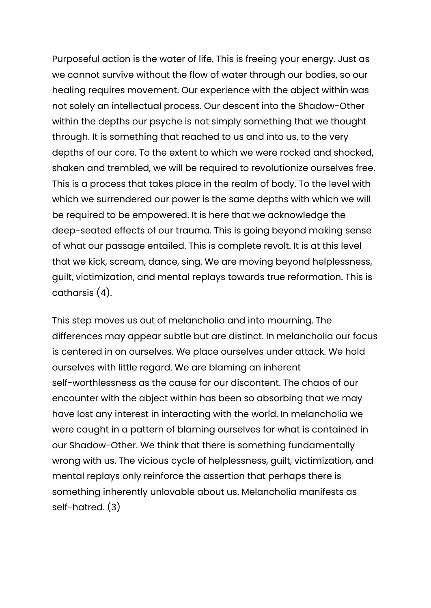Purposeful action is the water of life. This is freeing your energy. Just as we cannot survive without the flow of water through our bodies, so our healing requires movement. Our experience with the abject within was not solely an intellectual process. Our descent into the Shadow-Other within the depths our psyche is not simply something that we thought through. It is something that reached to us and into us, to the very depths of our core. To the extent to which we were rocked and shocked, shaken and trembled, we will be required to revolutionize ourselves free. This is a process that takes place in the realm of body. To the level with which we surrendered our power is the same depths with which we will be required to be empowered. It is here that we acknowledge the deep-seated effects of our trauma. This is going beyond making sense of what our passage entailed. This is complete revolt. It is at this level that we kick, scream, dance, sing. We are moving beyond helplessness, guilt, victimization, and mental replays towards true reformation. This is catharsis (4).

This step moves us out of melancholia and into mourning. The differences may appear subtle but are distinct. In melancholia our focus is centered in on ourselves. We place ourselves under attack. We hold ourselves with little regard. We are blaming an inherent self-worthlessness as the cause for our discontent. The chaos of our encounter with the abject within has been so absorbing that we may have lost any interest in interacting with the world. In melancholia we were caught in a pattern of blaming ourselves for what is contained in our Shadow-Other. We think that there is something fundamentally wrong with us. The vicious cycle of helplessness, guilt, victimization, and mental replays only reinforce the assertion that perhaps there is something inherently unlovable about us. Melancholia manifests as self-hatred. (3)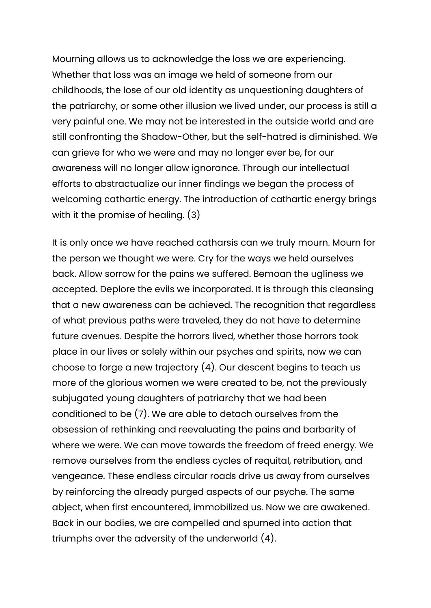Mourning allows us to acknowledge the loss we are experiencing. Whether that loss was an image we held of someone from our childhoods, the lose of our old identity as unquestioning daughters of the patriarchy, or some other illusion we lived under, our process is still a very painful one. We may not be interested in the outside world and are still confronting the Shadow-Other, but the self-hatred is diminished. We can grieve for who we were and may no longer ever be, for our awareness will no longer allow ignorance. Through our intellectual efforts to abstractualize our inner findings we began the process of welcoming cathartic energy. The introduction of cathartic energy brings with it the promise of healing. (3)

It is only once we have reached catharsis can we truly mourn. Mourn for the person we thought we were. Cry for the ways we held ourselves back. Allow sorrow for the pains we suffered. Bemoan the ugliness we accepted. Deplore the evils we incorporated. It is through this cleansing that a new awareness can be achieved. The recognition that regardless of what previous paths were traveled, they do not have to determine future avenues. Despite the horrors lived, whether those horrors took place in our lives or solely within our psyches and spirits, now we can choose to forge a new trajectory (4). Our descent begins to teach us more of the glorious women we were created to be, not the previously subjugated young daughters of patriarchy that we had been conditioned to be (7). We are able to detach ourselves from the obsession of rethinking and reevaluating the pains and barbarity of where we were. We can move towards the freedom of freed energy. We remove ourselves from the endless cycles of requital, retribution, and vengeance. These endless circular roads drive us away from ourselves by reinforcing the already purged aspects of our psyche. The same abject, when first encountered, immobilized us. Now we are awakened. Back in our bodies, we are compelled and spurned into action that triumphs over the adversity of the underworld (4).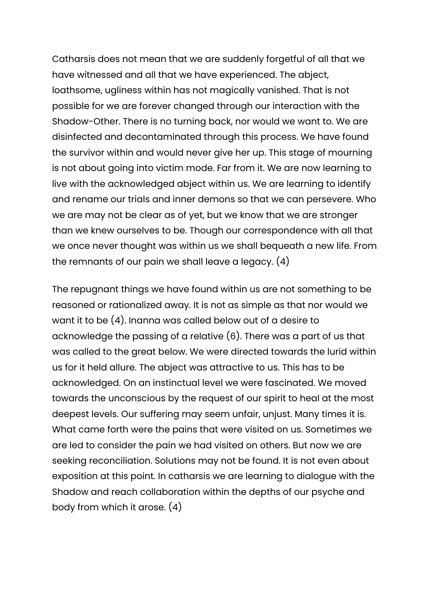Catharsis does not mean that we are suddenly forgetful of all that we have witnessed and all that we have experienced. The abject, loathsome, ugliness within has not magically vanished. That is not possible for we are forever changed through our interaction with the Shadow-Other. There is no turning back, nor would we want to. We are disinfected and decontaminated through this process. We have found the survivor within and would never give her up. This stage of mourning is not about going into victim mode. Far from it. We are now learning to live with the acknowledged abject within us. We are learning to identify and rename our trials and inner demons so that we can persevere. Who we are may not be clear as of yet, but we know that we are stronger than we knew ourselves to be. Though our correspondence with all that we once never thought was within us we shall bequeath a new life. From the remnants of our pain we shall leave a legacy. (4)

The repugnant things we have found within us are not something to be reasoned or rationalized away. It is not as simple as that nor would we want it to be (4). Inanna was called below out of a desire to acknowledge the passing of a relative (6). There was a part of us that was called to the great below. We were directed towards the lurid within us for it held allure. The abject was attractive to us. This has to be acknowledged. On an instinctual level we were fascinated. We moved towards the unconscious by the request of our spirit to heal at the most deepest levels. Our suffering may seem unfair, unjust. Many times it is. What came forth were the pains that were visited on us. Sometimes we are led to consider the pain we had visited on others. But now we are seeking reconciliation. Solutions may not be found. It is not even about exposition at this point. In catharsis we are learning to dialogue with the Shadow and reach collaboration within the depths of our psyche and body from which it arose. (4)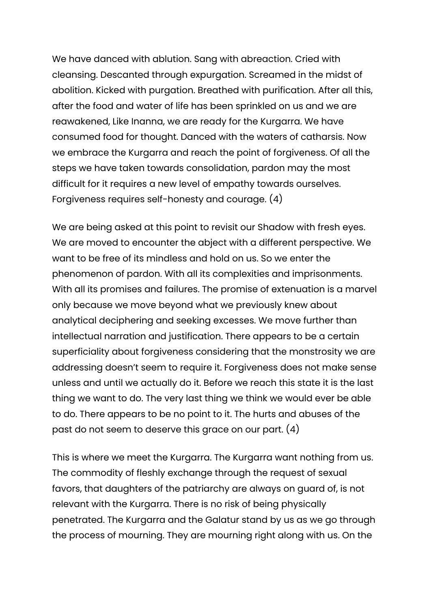We have danced with ablution. Sang with abreaction. Cried with cleansing. Descanted through expurgation. Screamed in the midst of abolition. Kicked with purgation. Breathed with purification. After all this, after the food and water of life has been sprinkled on us and we are reawakened, Like Inanna, we are ready for the Kurgarra. We have consumed food for thought. Danced with the waters of catharsis. Now we embrace the Kurgarra and reach the point of forgiveness. Of all the steps we have taken towards consolidation, pardon may the most difficult for it requires a new level of empathy towards ourselves. Forgiveness requires self-honesty and courage. (4)

We are being asked at this point to revisit our Shadow with fresh eyes. We are moved to encounter the abject with a different perspective. We want to be free of its mindless and hold on us. So we enter the phenomenon of pardon. With all its complexities and imprisonments. With all its promises and failures. The promise of extenuation is a marvel only because we move beyond what we previously knew about analytical deciphering and seeking excesses. We move further than intellectual narration and justification. There appears to be a certain superficiality about forgiveness considering that the monstrosity we are addressing doesn't seem to require it. Forgiveness does not make sense unless and until we actually do it. Before we reach this state it is the last thing we want to do. The very last thing we think we would ever be able to do. There appears to be no point to it. The hurts and abuses of the past do not seem to deserve this grace on our part. (4)

This is where we meet the Kurgarra. The Kurgarra want nothing from us. The commodity of fleshly exchange through the request of sexual favors, that daughters of the patriarchy are always on guard of, is not relevant with the Kurgarra. There is no risk of being physically penetrated. The Kurgarra and the Galatur stand by us as we go through the process of mourning. They are mourning right along with us. On the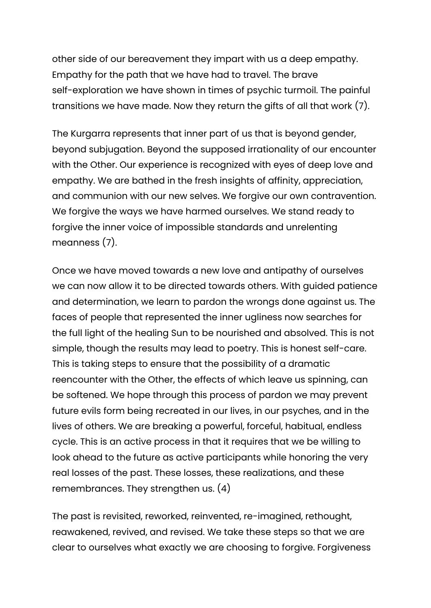other side of our bereavement they impart with us a deep empathy. Empathy for the path that we have had to travel. The brave self-exploration we have shown in times of psychic turmoil. The painful transitions we have made. Now they return the gifts of all that work (7).

The Kurgarra represents that inner part of us that is beyond gender, beyond subjugation. Beyond the supposed irrationality of our encounter with the Other. Our experience is recognized with eyes of deep love and empathy. We are bathed in the fresh insights of affinity, appreciation, and communion with our new selves. We forgive our own contravention. We forgive the ways we have harmed ourselves. We stand ready to forgive the inner voice of impossible standards and unrelenting meanness (7).

Once we have moved towards a new love and antipathy of ourselves we can now allow it to be directed towards others. With guided patience and determination, we learn to pardon the wrongs done against us. The faces of people that represented the inner ugliness now searches for the full light of the healing Sun to be nourished and absolved. This is not simple, though the results may lead to poetry. This is honest self-care. This is taking steps to ensure that the possibility of a dramatic reencounter with the Other, the effects of which leave us spinning, can be softened. We hope through this process of pardon we may prevent future evils form being recreated in our lives, in our psyches, and in the lives of others. We are breaking a powerful, forceful, habitual, endless cycle. This is an active process in that it requires that we be willing to look ahead to the future as active participants while honoring the very real losses of the past. These losses, these realizations, and these remembrances. They strengthen us. (4)

The past is revisited, reworked, reinvented, re-imagined, rethought, reawakened, revived, and revised. We take these steps so that we are clear to ourselves what exactly we are choosing to forgive. Forgiveness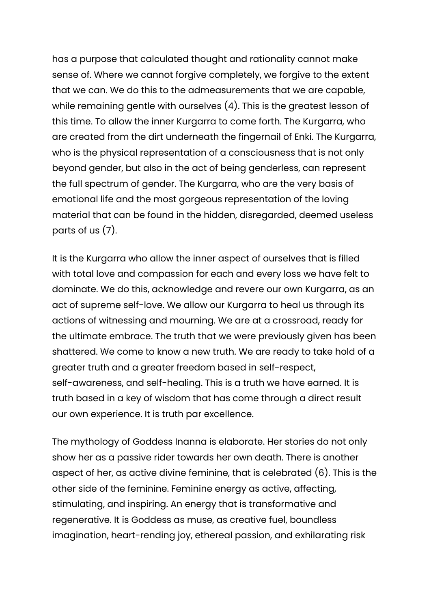has a purpose that calculated thought and rationality cannot make sense of. Where we cannot forgive completely, we forgive to the extent that we can. We do this to the admeasurements that we are capable, while remaining gentle with ourselves (4). This is the greatest lesson of this time. To allow the inner Kurgarra to come forth. The Kurgarra, who are created from the dirt underneath the fingernail of Enki. The Kurgarra, who is the physical representation of a consciousness that is not only beyond gender, but also in the act of being genderless, can represent the full spectrum of gender. The Kurgarra, who are the very basis of emotional life and the most gorgeous representation of the loving material that can be found in the hidden, disregarded, deemed useless parts of us (7).

It is the Kurgarra who allow the inner aspect of ourselves that is filled with total love and compassion for each and every loss we have felt to dominate. We do this, acknowledge and revere our own Kurgarra, as an act of supreme self-love. We allow our Kurgarra to heal us through its actions of witnessing and mourning. We are at a crossroad, ready for the ultimate embrace. The truth that we were previously given has been shattered. We come to know a new truth. We are ready to take hold of a greater truth and a greater freedom based in self-respect, self-awareness, and self-healing. This is a truth we have earned. It is truth based in a key of wisdom that has come through a direct result our own experience. It is truth par excellence.

The mythology of Goddess Inanna is elaborate. Her stories do not only show her as a passive rider towards her own death. There is another aspect of her, as active divine feminine, that is celebrated (6). This is the other side of the feminine. Feminine energy as active, affecting, stimulating, and inspiring. An energy that is transformative and regenerative. It is Goddess as muse, as creative fuel, boundless imagination, heart-rending joy, ethereal passion, and exhilarating risk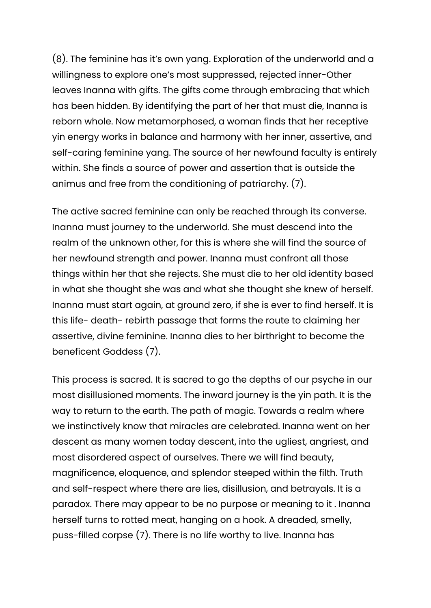(8). The feminine has it's own yang. Exploration of the underworld and a willingness to explore one's most suppressed, rejected inner-Other leaves Inanna with gifts. The gifts come through embracing that which has been hidden. By identifying the part of her that must die, Inanna is reborn whole. Now metamorphosed, a woman finds that her receptive yin energy works in balance and harmony with her inner, assertive, and self-caring feminine yang. The source of her newfound faculty is entirely within. She finds a source of power and assertion that is outside the animus and free from the conditioning of patriarchy. (7).

The active sacred feminine can only be reached through its converse. Inanna must journey to the underworld. She must descend into the realm of the unknown other, for this is where she will find the source of her newfound strength and power. Inanna must confront all those things within her that she rejects. She must die to her old identity based in what she thought she was and what she thought she knew of herself. Inanna must start again, at ground zero, if she is ever to find herself. It is this life- death- rebirth passage that forms the route to claiming her assertive, divine feminine. Inanna dies to her birthright to become the beneficent Goddess (7).

This process is sacred. It is sacred to go the depths of our psyche in our most disillusioned moments. The inward journey is the yin path. It is the way to return to the earth. The path of magic. Towards a realm where we instinctively know that miracles are celebrated. Inanna went on her descent as many women today descent, into the ugliest, angriest, and most disordered aspect of ourselves. There we will find beauty, magnificence, eloquence, and splendor steeped within the filth. Truth and self-respect where there are lies, disillusion, and betrayals. It is a paradox. There may appear to be no purpose or meaning to it . Inanna herself turns to rotted meat, hanging on a hook. A dreaded, smelly, puss-filled corpse (7). There is no life worthy to live. Inanna has